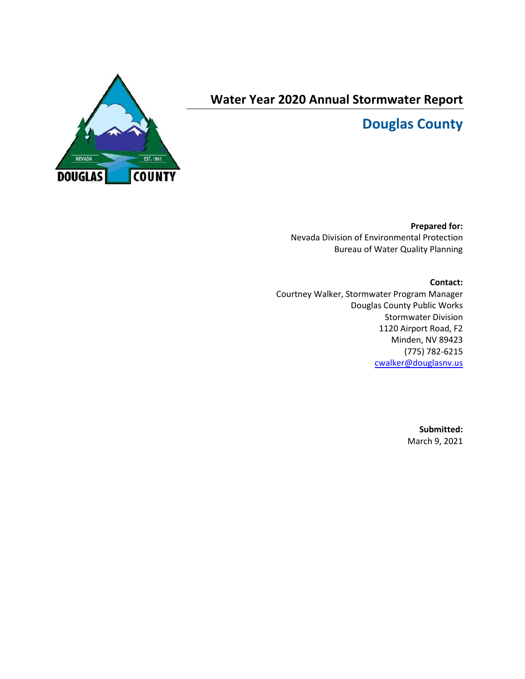

# **Water Year 2020 Annual Stormwater Report**

# **Douglas County**

**Prepared for:** Nevada Division of Environmental Protection Bureau of Water Quality Planning

**Contact:** Courtney Walker, Stormwater Program Manager Douglas County Public Works Stormwater Division 1120 Airport Road, F2 Minden, NV 89423 (775) 782-6215 [cwalker@douglasnv.us](mailto:cwalker@douglasnv.us)

> **Submitted:** March 9, 2021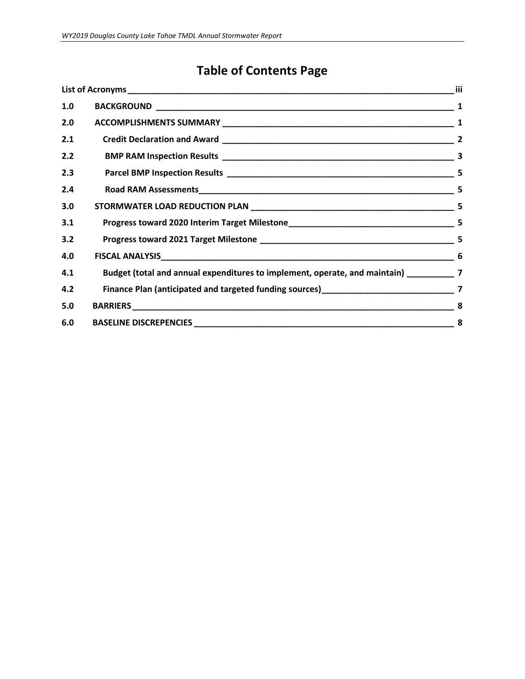# **Table of Contents Page**

| 1.0 |                                                                                           |     |
|-----|-------------------------------------------------------------------------------------------|-----|
| 2.0 |                                                                                           |     |
| 2.1 |                                                                                           |     |
| 2.2 |                                                                                           |     |
| 2.3 |                                                                                           |     |
| 2.4 |                                                                                           | -5  |
| 3.0 |                                                                                           | - 5 |
| 3.1 |                                                                                           |     |
| 3.2 |                                                                                           |     |
| 4.0 |                                                                                           | 6   |
| 4.1 | Budget (total and annual expenditures to implement, operate, and maintain) ____________ 7 |     |
| 4.2 |                                                                                           |     |
| 5.0 |                                                                                           | 8   |
| 6.0 |                                                                                           | 8   |
|     |                                                                                           |     |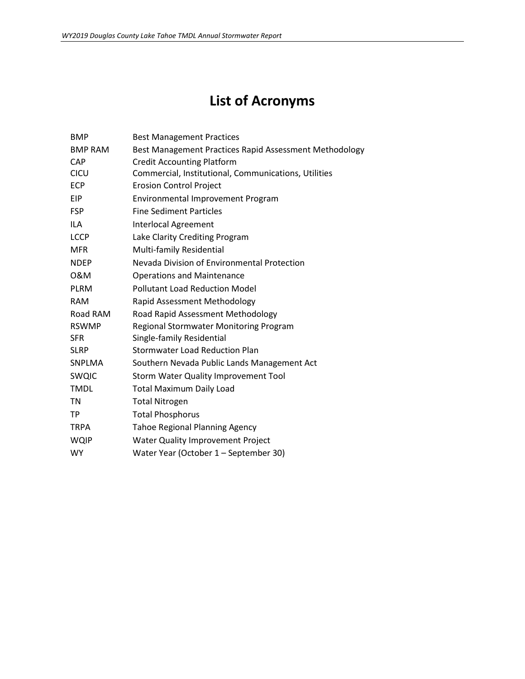# **List of Acronyms**

<span id="page-2-0"></span>

| <b>BMP</b>     | <b>Best Management Practices</b>                       |
|----------------|--------------------------------------------------------|
| <b>BMP RAM</b> | Best Management Practices Rapid Assessment Methodology |
| CAP            | <b>Credit Accounting Platform</b>                      |
| <b>CICU</b>    | Commercial, Institutional, Communications, Utilities   |
| <b>ECP</b>     | <b>Erosion Control Project</b>                         |
| <b>EIP</b>     | <b>Environmental Improvement Program</b>               |
| <b>FSP</b>     | <b>Fine Sediment Particles</b>                         |
| <b>ILA</b>     | <b>Interlocal Agreement</b>                            |
| <b>LCCP</b>    | Lake Clarity Crediting Program                         |
| <b>MFR</b>     | Multi-family Residential                               |
| <b>NDEP</b>    | Nevada Division of Environmental Protection            |
| 0&M            | <b>Operations and Maintenance</b>                      |
| <b>PLRM</b>    | <b>Pollutant Load Reduction Model</b>                  |
| <b>RAM</b>     | Rapid Assessment Methodology                           |
| Road RAM       | Road Rapid Assessment Methodology                      |
| <b>RSWMP</b>   | Regional Stormwater Monitoring Program                 |
| <b>SFR</b>     | Single-family Residential                              |
| <b>SLRP</b>    | <b>Stormwater Load Reduction Plan</b>                  |
| SNPLMA         | Southern Nevada Public Lands Management Act            |
| <b>SWQIC</b>   | Storm Water Quality Improvement Tool                   |
| <b>TMDL</b>    | <b>Total Maximum Daily Load</b>                        |
| <b>TN</b>      | <b>Total Nitrogen</b>                                  |
| <b>TP</b>      | <b>Total Phosphorus</b>                                |
| <b>TRPA</b>    | <b>Tahoe Regional Planning Agency</b>                  |
| <b>WQIP</b>    | Water Quality Improvement Project                      |
| <b>WY</b>      | Water Year (October 1 - September 30)                  |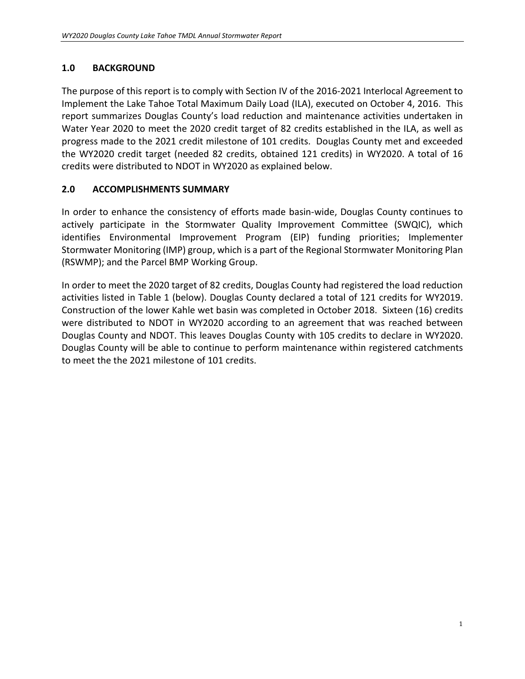### <span id="page-3-0"></span>**1.0 BACKGROUND**

The purpose of this report is to comply with Section IV of the 2016-2021 Interlocal Agreement to Implement the Lake Tahoe Total Maximum Daily Load (ILA), executed on October 4, 2016. This report summarizes Douglas County's load reduction and maintenance activities undertaken in Water Year 2020 to meet the 2020 credit target of 82 credits established in the ILA, as well as progress made to the 2021 credit milestone of 101 credits. Douglas County met and exceeded the WY2020 credit target (needed 82 credits, obtained 121 credits) in WY2020. A total of 16 credits were distributed to NDOT in WY2020 as explained below.

#### <span id="page-3-1"></span>**2.0 ACCOMPLISHMENTS SUMMARY**

In order to enhance the consistency of efforts made basin-wide, Douglas County continues to actively participate in the Stormwater Quality Improvement Committee (SWQIC), which identifies Environmental Improvement Program (EIP) funding priorities; Implementer Stormwater Monitoring (IMP) group, which is a part of the Regional Stormwater Monitoring Plan (RSWMP); and the Parcel BMP Working Group.

In order to meet the 2020 target of 82 credits, Douglas County had registered the load reduction activities listed in Table 1 (below). Douglas County declared a total of 121 credits for WY2019. Construction of the lower Kahle wet basin was completed in October 2018. Sixteen (16) credits were distributed to NDOT in WY2020 according to an agreement that was reached between Douglas County and NDOT. This leaves Douglas County with 105 credits to declare in WY2020. Douglas County will be able to continue to perform maintenance within registered catchments to meet the the 2021 milestone of 101 credits.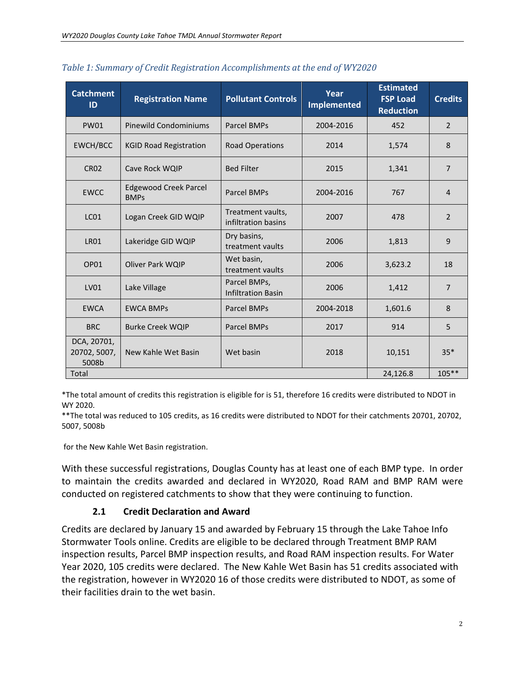| <b>Catchment</b><br>ID               | <b>Registration Name</b>                    | <b>Pollutant Controls</b>                 | Year<br><b>Implemented</b> | <b>Estimated</b><br><b>FSP Load</b><br><b>Reduction</b> | <b>Credits</b> |
|--------------------------------------|---------------------------------------------|-------------------------------------------|----------------------------|---------------------------------------------------------|----------------|
| <b>PW01</b>                          | Pinewild Condominiums                       | Parcel BMPs                               | 2004-2016                  | 452                                                     | $\overline{2}$ |
| EWCH/BCC                             | <b>KGID Road Registration</b>               | <b>Road Operations</b>                    | 2014                       | 1,574                                                   | 8              |
| <b>CR02</b>                          | Cave Rock WQIP                              | <b>Bed Filter</b>                         | 2015                       | 1,341                                                   | $\overline{7}$ |
| <b>EWCC</b>                          | <b>Edgewood Creek Parcel</b><br><b>BMPs</b> | <b>Parcel BMPs</b>                        | 2004-2016                  | 767                                                     | $\overline{4}$ |
| LC <sub>01</sub>                     | Logan Creek GID WQIP                        | Treatment vaults,<br>infiltration basins  | 2007                       | 478                                                     | $\overline{2}$ |
| <b>LR01</b>                          | Lakeridge GID WQIP                          | Dry basins,<br>treatment vaults           | 2006                       | 1,813                                                   | 9              |
| OP01                                 | Oliver Park WQIP                            | Wet basin,<br>treatment vaults            | 2006                       | 3,623.2                                                 | 18             |
| LV01                                 | Lake Village                                | Parcel BMPs,<br><b>Infiltration Basin</b> | 2006                       | 1,412                                                   | $\overline{7}$ |
| <b>EWCA</b>                          | <b>EWCA BMPs</b>                            | <b>Parcel BMPs</b>                        | 2004-2018                  | 1,601.6                                                 | 8              |
| <b>BRC</b>                           | <b>Burke Creek WOIP</b>                     | <b>Parcel BMPs</b>                        | 2017                       | 914                                                     | 5              |
| DCA, 20701,<br>20702, 5007,<br>5008b | New Kahle Wet Basin                         | Wet basin                                 | 2018                       | 10,151                                                  | $35*$          |
| Total                                |                                             |                                           |                            | 24,126.8                                                | $105***$       |

*Table 1: Summary of Credit Registration Accomplishments at the end of WY2020*

\*The total amount of credits this registration is eligible for is 51, therefore 16 credits were distributed to NDOT in WY 2020.

\*\*The total was reduced to 105 credits, as 16 credits were distributed to NDOT for their catchments 20701, 20702, 5007, 5008b

for the New Kahle Wet Basin registration.

With these successful registrations, Douglas County has at least one of each BMP type. In order to maintain the credits awarded and declared in WY2020, Road RAM and BMP RAM were conducted on registered catchments to show that they were continuing to function.

#### **2.1 Credit Declaration and Award**

<span id="page-4-0"></span>Credits are declared by January 15 and awarded by February 15 through the Lake Tahoe Info Stormwater Tools online. Credits are eligible to be declared through Treatment BMP RAM inspection results, Parcel BMP inspection results, and Road RAM inspection results. For Water Year 2020, 105 credits were declared. The New Kahle Wet Basin has 51 credits associated with the registration, however in WY2020 16 of those credits were distributed to NDOT, as some of their facilities drain to the wet basin.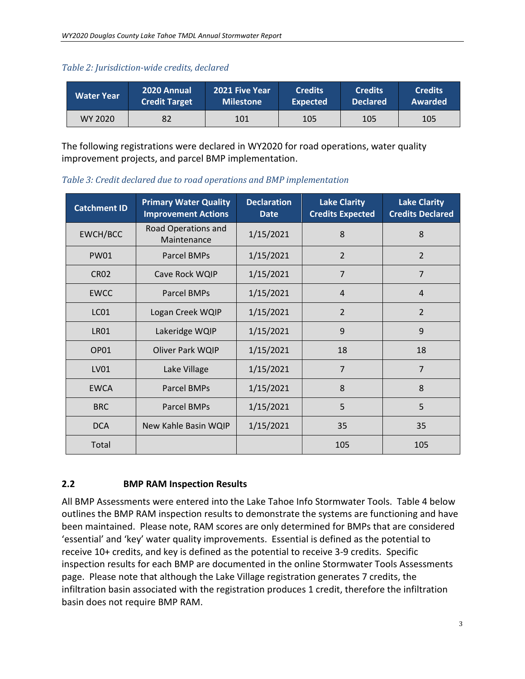|  |  | Table 2: Jurisdiction-wide credits, declared |
|--|--|----------------------------------------------|
|  |  |                                              |

| Water Year | 2020 Annual          | <b>2021 Five Year</b> | <b>Credits</b>  | <b>Credits</b>  | <b>Credits</b> |
|------------|----------------------|-----------------------|-----------------|-----------------|----------------|
|            | <b>Credit Target</b> | <b>Milestone</b>      | <b>Expected</b> | <b>Declared</b> | Awarded        |
| WY 2020    | 82                   | 101                   | 105             | 105             | 105            |

The following registrations were declared in WY2020 for road operations, water quality improvement projects, and parcel BMP implementation.

**Catchment ID Primary Water Quality Improvement Actions Declaration Date Lake Clarity Credits Expected Lake Clarity Credits Declared** EWCH/BCC | Road Operations and  $\begin{array}{c|c|c|c|c|c} \hline \text{Majntenance} & 1/15/2021 & 8 & \text{Majntenance} \end{array}$ PW01 | Parcel BMPs | 1/15/2021 | 2 | 2 CR02 | Cave Rock WQIP | 1/15/2021 | 7 | 7 EWCC | Parcel BMPs | 1/15/2021 | 4 | 4 LC01 | Logan Creek WQIP | 1/15/2021 | 2 | 2 LR01 | Lakeridge WQIP | 1/15/2021 | 9 | 9 OP01 Oliver Park WQIP 1/15/2021 18 18 LV01 | Lake Village | 1/15/2021 | 7 | 7 EWCA | Parcel BMPs |  $1/15/2021$  | 8 | 8 BRC | Parcel BMPs | 1/15/2021 | 5 | 5 DCA | New Kahle Basin WQIP | 1/15/2021 | 35 | 35

*Table 3: Credit declared due to road operations and BMP implementation*

# <span id="page-5-0"></span>**2.2 BMP RAM Inspection Results**

All BMP Assessments were entered into the Lake Tahoe Info Stormwater Tools. Table 4 below outlines the BMP RAM inspection results to demonstrate the systems are functioning and have been maintained. Please note, RAM scores are only determined for BMPs that are considered 'essential' and 'key' water quality improvements. Essential is defined as the potential to receive 10+ credits, and key is defined as the potential to receive 3-9 credits. Specific inspection results for each BMP are documented in the online Stormwater Tools Assessments page. Please note that although the Lake Village registration generates 7 credits, the infiltration basin associated with the registration produces 1 credit, therefore the infiltration basin does not require BMP RAM.

Total | 105 | 105 | 105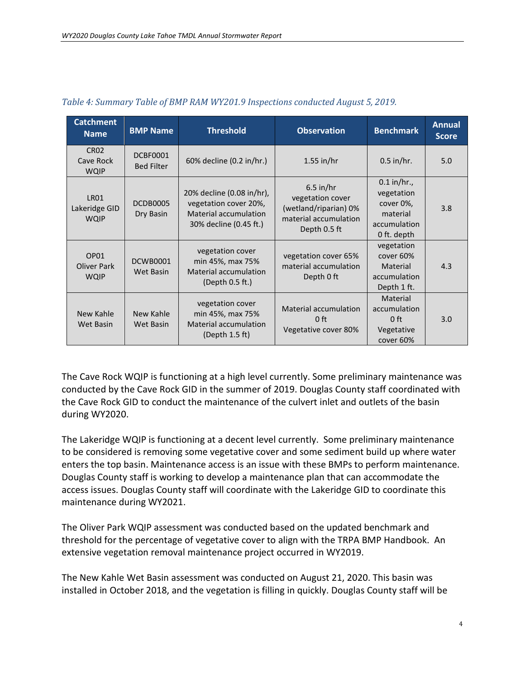| <b>Catchment</b><br><b>Name</b>             | <b>BMP Name</b>                      | <b>Threshold</b>                                                                                             | <b>Observation</b>                                                                                | <b>Benchmark</b>                                                                    | <b>Annual</b><br><b>Score</b> |
|---------------------------------------------|--------------------------------------|--------------------------------------------------------------------------------------------------------------|---------------------------------------------------------------------------------------------------|-------------------------------------------------------------------------------------|-------------------------------|
| <b>CR02</b><br>Cave Rock<br><b>WQIP</b>     | <b>DCBF0001</b><br><b>Bed Filter</b> | 60% decline (0.2 in/hr.)                                                                                     | $1.55$ in/hr                                                                                      | $0.5$ in/hr.                                                                        | 5.0                           |
| <b>LR01</b><br>Lakeridge GID<br><b>WQIP</b> | DCDB0005<br>Dry Basin                | 20% decline (0.08 in/hr),<br>vegetation cover 20%,<br><b>Material accumulation</b><br>30% decline (0.45 ft.) | $6.5$ in/hr<br>vegetation cover<br>(wetland/riparian) 0%<br>material accumulation<br>Depth 0.5 ft | $0.1$ in/hr.,<br>vegetation<br>cover 0%,<br>material<br>accumulation<br>0 ft. depth | 3.8                           |
| OP01<br><b>Oliver Park</b><br><b>WQIP</b>   | <b>DCWB0001</b><br><b>Wet Basin</b>  | vegetation cover<br>min 45%, max 75%<br><b>Material accumulation</b><br>(Depth 0.5 ft.)                      | vegetation cover 65%<br>material accumulation<br>Depth 0 ft                                       | vegetation<br>cover 60%<br>Material<br>accumulation<br>Depth 1 ft.                  | 4.3                           |
| New Kahle<br>Wet Basin                      | <b>New Kahle</b><br>Wet Basin        | vegetation cover<br>min 45%, max 75%<br><b>Material accumulation</b><br>(Depth 1.5 ft)                       | Material accumulation<br>$0$ ft<br>Vegetative cover 80%                                           | Material<br>accumulation<br>0 <sup>ft</sup><br>Vegetative<br>cover 60%              | 3.0                           |

#### *Table 4: Summary Table of BMP RAM WY201.9 Inspections conducted August 5, 2019.*

The Cave Rock WQIP is functioning at a high level currently. Some preliminary maintenance was conducted by the Cave Rock GID in the summer of 2019. Douglas County staff coordinated with the Cave Rock GID to conduct the maintenance of the culvert inlet and outlets of the basin during WY2020.

The Lakeridge WQIP is functioning at a decent level currently. Some preliminary maintenance to be considered is removing some vegetative cover and some sediment build up where water enters the top basin. Maintenance access is an issue with these BMPs to perform maintenance. Douglas County staff is working to develop a maintenance plan that can accommodate the access issues. Douglas County staff will coordinate with the Lakeridge GID to coordinate this maintenance during WY2021.

The Oliver Park WQIP assessment was conducted based on the updated benchmark and threshold for the percentage of vegetative cover to align with the TRPA BMP Handbook. An extensive vegetation removal maintenance project occurred in WY2019.

The New Kahle Wet Basin assessment was conducted on August 21, 2020. This basin was installed in October 2018, and the vegetation is filling in quickly. Douglas County staff will be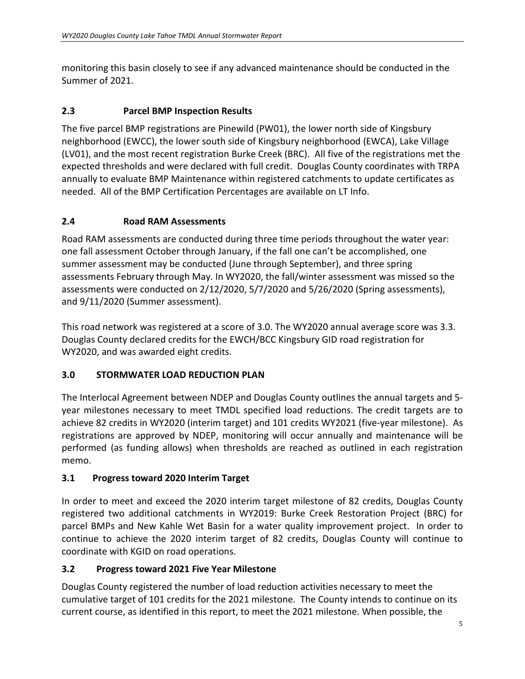monitoring this basin closely to see if any advanced maintenance should be conducted in the Summer of 2021.

### <span id="page-7-0"></span>**2.3 Parcel BMP Inspection Results**

The five parcel BMP registrations are Pinewild (PW01), the lower north side of Kingsbury neighborhood (EWCC), the lower south side of Kingsbury neighborhood (EWCA), Lake Village (LV01), and the most recent registration Burke Creek (BRC). All five of the registrations met the expected thresholds and were declared with full credit. Douglas County coordinates with TRPA annually to evaluate BMP Maintenance within registered catchments to update certificates as needed. All of the BMP Certification Percentages are available on LT Info.

### <span id="page-7-1"></span>**2.4 Road RAM Assessments**

Road RAM assessments are conducted during three time periods throughout the water year: one fall assessment October through January, if the fall one can't be accomplished, one summer assessment may be conducted (June through September), and three spring assessments February through May. In WY2020, the fall/winter assessment was missed so the assessments were conducted on 2/12/2020, 5/7/2020 and 5/26/2020 (Spring assessments), and 9/11/2020 (Summer assessment).

This road network was registered at a score of 3.0. The WY2020 annual average score was 3.3. Douglas County declared credits for the EWCH/BCC Kingsbury GID road registration for WY2020, and was awarded eight credits.

#### <span id="page-7-2"></span>**3.0 STORMWATER LOAD REDUCTION PLAN**

The Interlocal Agreement between NDEP and Douglas County outlines the annual targets and 5 year milestones necessary to meet TMDL specified load reductions. The credit targets are to achieve 82 credits in WY2020 (interim target) and 101 credits WY2021 (five-year milestone). As registrations are approved by NDEP, monitoring will occur annually and maintenance will be performed (as funding allows) when thresholds are reached as outlined in each registration memo.

#### <span id="page-7-3"></span>**3.1 Progress toward 2020 Interim Target**

In order to meet and exceed the 2020 interim target milestone of 82 credits, Douglas County registered two additional catchments in WY2019: Burke Creek Restoration Project (BRC) for parcel BMPs and New Kahle Wet Basin for a water quality improvement project. In order to continue to achieve the 2020 interim target of 82 credits, Douglas County will continue to coordinate with KGID on road operations.

#### <span id="page-7-4"></span>**3.2 Progress toward 2021 Five Year Milestone**

Douglas County registered the number of load reduction activities necessary to meet the cumulative target of 101 credits for the 2021 milestone. The County intends to continue on its current course, as identified in this report, to meet the 2021 milestone. When possible, the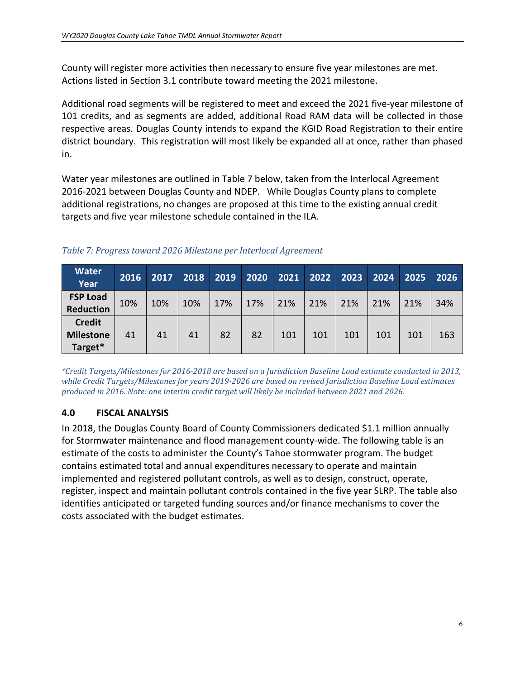County will register more activities then necessary to ensure five year milestones are met. Actions listed in Section 3.1 contribute toward meeting the 2021 milestone.

Additional road segments will be registered to meet and exceed the 2021 five-year milestone of 101 credits, and as segments are added, additional Road RAM data will be collected in those respective areas. Douglas County intends to expand the KGID Road Registration to their entire district boundary. This registration will most likely be expanded all at once, rather than phased in.

Water year milestones are outlined in Table 7 below, taken from the Interlocal Agreement 2016-2021 between Douglas County and NDEP. While Douglas County plans to complete additional registrations, no changes are proposed at this time to the existing annual credit targets and five year milestone schedule contained in the ILA.

| <b>Water</b><br>Year                         | 2016 | 2017 | 2018 | 2019 | 2020 | 2021 | 2022 | 2023 | 2024 | 2025 | 2026 |
|----------------------------------------------|------|------|------|------|------|------|------|------|------|------|------|
| <b>FSP Load</b><br><b>Reduction</b>          | 10%  | 10%  | 10%  | 17%  | 17%  | 21%  | 21%  | 21%  | 21%  | 21%  | 34%  |
| <b>Credit</b><br><b>Milestone</b><br>Target* | 41   | 41   | 41   | 82   | 82   | 101  | 101  | 101  | 101  | 101  | 163  |

#### *Table 7: Progress toward 2026 Milestone per Interlocal Agreement*

*\*Credit Targets/Milestones for 2016-2018 are based on a Jurisdiction Baseline Load estimate conducted in 2013, while Credit Targets/Milestones for years 2019-2026 are based on revised Jurisdiction Baseline Load estimates produced in 2016. Note: one interim credit target will likely be included between 2021 and 2026.*

#### <span id="page-8-0"></span>**4.0 FISCAL ANALYSIS**

In 2018, the Douglas County Board of County Commissioners dedicated \$1.1 million annually for Stormwater maintenance and flood management county-wide. The following table is an estimate of the costs to administer the County's Tahoe stormwater program. The budget contains estimated total and annual expenditures necessary to operate and maintain implemented and registered pollutant controls, as well as to design, construct, operate, register, inspect and maintain pollutant controls contained in the five year SLRP. The table also identifies anticipated or targeted funding sources and/or finance mechanisms to cover the costs associated with the budget estimates.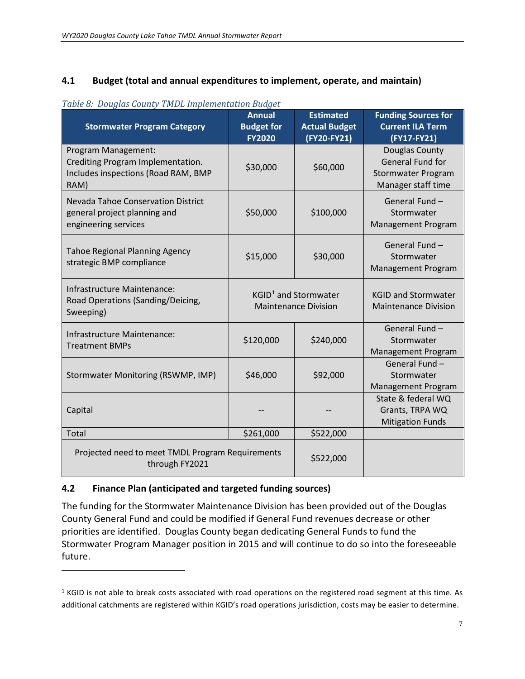#### <span id="page-9-0"></span>**4.1 Budget (total and annual expenditures to implement, operate, and maintain)**

| <b>Stormwater Program Category</b>                                                                      | <b>Annual</b><br><b>Budget for</b><br><b>FY2020</b> | <b>Estimated</b><br><b>Actual Budget</b><br>(FY20-FY21)         | <b>Funding Sources for</b><br><b>Current ILA Term</b><br>(FY17-FY21)                  |
|---------------------------------------------------------------------------------------------------------|-----------------------------------------------------|-----------------------------------------------------------------|---------------------------------------------------------------------------------------|
| Program Management:<br>Crediting Program Implementation.<br>Includes inspections (Road RAM, BMP<br>RAM) | \$30,000                                            | \$60,000                                                        | Douglas County<br>General Fund for<br><b>Stormwater Program</b><br>Manager staff time |
| Nevada Tahoe Conservation District<br>general project planning and<br>engineering services              | \$50,000                                            | \$100,000                                                       | General Fund -<br>Stormwater<br><b>Management Program</b>                             |
| <b>Tahoe Regional Planning Agency</b><br>strategic BMP compliance                                       | \$15,000                                            | \$30,000                                                        | General Fund-<br>Stormwater<br>Management Program                                     |
| Infrastructure Maintenance:<br>Road Operations (Sanding/Deicing,<br>Sweeping)                           |                                                     | KGID <sup>1</sup> and Stormwater<br><b>Maintenance Division</b> | <b>KGID and Stormwater</b><br><b>Maintenance Division</b>                             |
| Infrastructure Maintenance:<br><b>Treatment BMPs</b>                                                    | \$120,000                                           | \$240,000                                                       | General Fund -<br>Stormwater<br>Management Program                                    |
| Stormwater Monitoring (RSWMP, IMP)                                                                      | \$46,000                                            | \$92,000                                                        | General Fund -<br>Stormwater<br>Management Program                                    |
| Capital                                                                                                 |                                                     |                                                                 | State & federal WQ<br>Grants, TRPA WQ<br><b>Mitigation Funds</b>                      |
| <b>Total</b>                                                                                            | \$261,000                                           | \$522,000                                                       |                                                                                       |
| Projected need to meet TMDL Program Requirements<br>through FY2021                                      |                                                     | \$522,000                                                       |                                                                                       |

#### *Table 8: Douglas County TMDL Implementation Budget*

#### <span id="page-9-1"></span>**4.2 Finance Plan (anticipated and targeted funding sources)**

i<br>I

The funding for the Stormwater Maintenance Division has been provided out of the Douglas County General Fund and could be modified if General Fund revenues decrease or other priorities are identified. Douglas County began dedicating General Funds to fund the Stormwater Program Manager position in 2015 and will continue to do so into the foreseeable future.

<span id="page-9-2"></span> $1$  KGID is not able to break costs associated with road operations on the registered road segment at this time. As additional catchments are registered within KGID's road operations jurisdiction, costs may be easier to determine.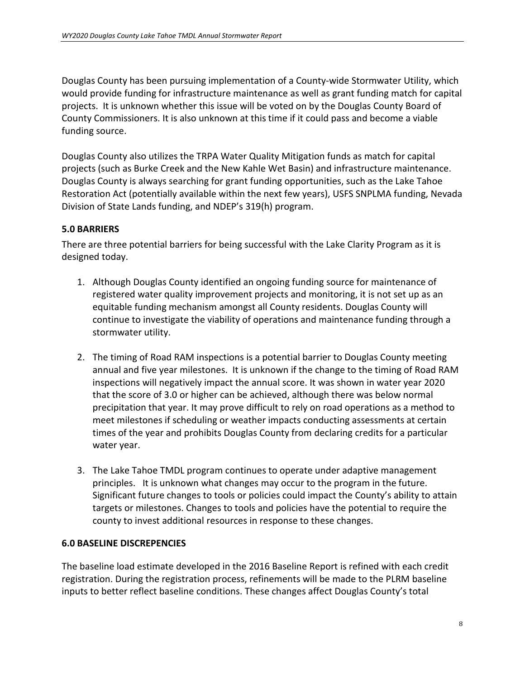Douglas County has been pursuing implementation of a County-wide Stormwater Utility, which would provide funding for infrastructure maintenance as well as grant funding match for capital projects. It is unknown whether this issue will be voted on by the Douglas County Board of County Commissioners. It is also unknown at this time if it could pass and become a viable funding source.

Douglas County also utilizes the TRPA Water Quality Mitigation funds as match for capital projects (such as Burke Creek and the New Kahle Wet Basin) and infrastructure maintenance. Douglas County is always searching for grant funding opportunities, such as the Lake Tahoe Restoration Act (potentially available within the next few years), USFS SNPLMA funding, Nevada Division of State Lands funding, and NDEP's 319(h) program.

# <span id="page-10-0"></span>**5.0 BARRIERS**

There are three potential barriers for being successful with the Lake Clarity Program as it is designed today.

- 1. Although Douglas County identified an ongoing funding source for maintenance of registered water quality improvement projects and monitoring, it is not set up as an equitable funding mechanism amongst all County residents. Douglas County will continue to investigate the viability of operations and maintenance funding through a stormwater utility.
- 2. The timing of Road RAM inspections is a potential barrier to Douglas County meeting annual and five year milestones. It is unknown if the change to the timing of Road RAM inspections will negatively impact the annual score. It was shown in water year 2020 that the score of 3.0 or higher can be achieved, although there was below normal precipitation that year. It may prove difficult to rely on road operations as a method to meet milestones if scheduling or weather impacts conducting assessments at certain times of the year and prohibits Douglas County from declaring credits for a particular water year.
- 3. The Lake Tahoe TMDL program continues to operate under adaptive management principles. It is unknown what changes may occur to the program in the future. Significant future changes to tools or policies could impact the County's ability to attain targets or milestones. Changes to tools and policies have the potential to require the county to invest additional resources in response to these changes.

#### <span id="page-10-1"></span>**6.0 BASELINE DISCREPENCIES**

The baseline load estimate developed in the 2016 Baseline Report is refined with each credit registration. During the registration process, refinements will be made to the PLRM baseline inputs to better reflect baseline conditions. These changes affect Douglas County's total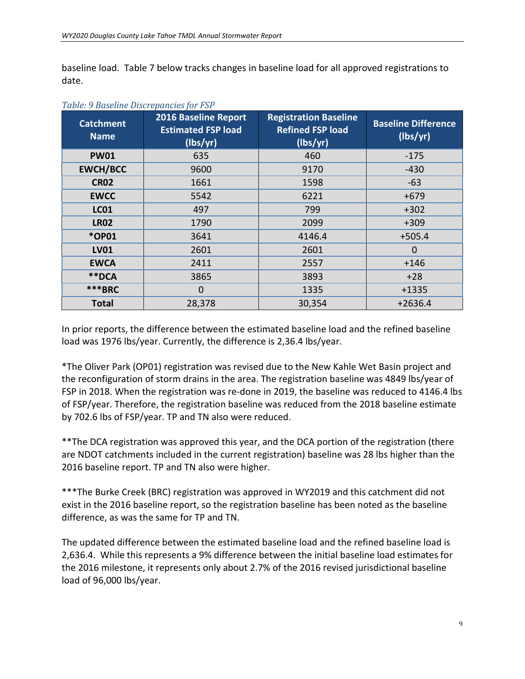baseline load. Table 7 below tracks changes in baseline load for all approved registrations to date.

| <b>Catchment</b><br><b>Name</b> | 2016 Baseline Report<br><b>Estimated FSP load</b><br>(lbs/yr) | <b>Registration Baseline</b><br><b>Refined FSP load</b><br>(lbs/yr) | <b>Baseline Difference</b><br>(lbs/yr) |
|---------------------------------|---------------------------------------------------------------|---------------------------------------------------------------------|----------------------------------------|
| <b>PW01</b>                     | 635                                                           | 460                                                                 | $-175$                                 |
| <b>EWCH/BCC</b>                 | 9600                                                          | 9170                                                                | $-430$                                 |
| <b>CR02</b>                     | 1661                                                          | 1598                                                                | $-63$                                  |
| <b>EWCC</b>                     | 5542                                                          | 6221                                                                | $+679$                                 |
| <b>LC01</b>                     | 497                                                           | 799                                                                 | $+302$                                 |
| <b>LR02</b>                     | 1790                                                          | 2099                                                                | $+309$                                 |
| *OP01                           | 3641                                                          | 4146.4                                                              | $+505.4$                               |
| <b>LV01</b>                     | 2601                                                          | 2601                                                                | $\mathbf 0$                            |
| <b>EWCA</b>                     | 2411                                                          | 2557                                                                | $+146$                                 |
| **DCA                           | 3865                                                          | 3893                                                                | $+28$                                  |
| ***BRC                          | 0                                                             | 1335                                                                | $+1335$                                |
| <b>Total</b>                    | 28,378                                                        | 30,354                                                              | $+2636.4$                              |

#### *Table: 9 Baseline Discrepancies for FSP*

In prior reports, the difference between the estimated baseline load and the refined baseline load was 1976 lbs/year. Currently, the difference is 2,36.4 lbs/year.

\*The Oliver Park (OP01) registration was revised due to the New Kahle Wet Basin project and the reconfiguration of storm drains in the area. The registration baseline was 4849 lbs/year of FSP in 2018. When the registration was re-done in 2019, the baseline was reduced to 4146.4 lbs of FSP/year. Therefore, the registration baseline was reduced from the 2018 baseline estimate by 702.6 lbs of FSP/year. TP and TN also were reduced.

\*\*The DCA registration was approved this year, and the DCA portion of the registration (there are NDOT catchments included in the current registration) baseline was 28 lbs higher than the 2016 baseline report. TP and TN also were higher.

\*\*\*The Burke Creek (BRC) registration was approved in WY2019 and this catchment did not exist in the 2016 baseline report, so the registration baseline has been noted as the baseline difference, as was the same for TP and TN.

The updated difference between the estimated baseline load and the refined baseline load is 2,636.4. While this represents a 9% difference between the initial baseline load estimates for the 2016 milestone, it represents only about 2.7% of the 2016 revised jurisdictional baseline load of 96,000 lbs/year.